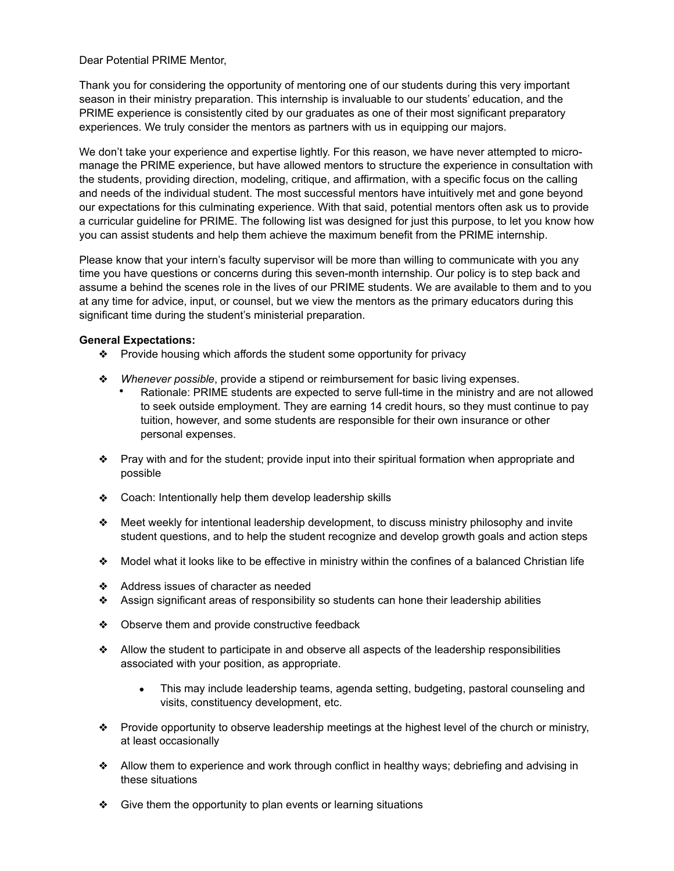## Dear Potential PRIME Mentor,

Thank you for considering the opportunity of mentoring one of our students during this very important season in their ministry preparation. This internship is invaluable to our students' education, and the PRIME experience is consistently cited by our graduates as one of their most significant preparatory experiences. We truly consider the mentors as partners with us in equipping our majors.

We don't take your experience and expertise lightly. For this reason, we have never attempted to micromanage the PRIME experience, but have allowed mentors to structure the experience in consultation with the students, providing direction, modeling, critique, and affirmation, with a specific focus on the calling and needs of the individual student. The most successful mentors have intuitively met and gone beyond our expectations for this culminating experience. With that said, potential mentors often ask us to provide a curricular guideline for PRIME. The following list was designed for just this purpose, to let you know how you can assist students and help them achieve the maximum benefit from the PRIME internship.

Please know that your intern's faculty supervisor will be more than willing to communicate with you any time you have questions or concerns during this seven-month internship. Our policy is to step back and assume a behind the scenes role in the lives of our PRIME students. We are available to them and to you at any time for advice, input, or counsel, but we view the mentors as the primary educators during this significant time during the student's ministerial preparation.

## **General Expectations:**

- ❖ Provide housing which affords the student some opportunity for privacy
- ❖ *Whenever possible*, provide a stipend or reimbursement for basic living expenses.
	- Rationale: PRIME students are expected to serve full-time in the ministry and are not allowed to seek outside employment. They are earning 14 credit hours, so they must continue to pay tuition, however, and some students are responsible for their own insurance or other personal expenses.
- ❖ Pray with and for the student; provide input into their spiritual formation when appropriate and possible
- ❖ Coach: Intentionally help them develop leadership skills
- ❖ Meet weekly for intentional leadership development, to discuss ministry philosophy and invite student questions, and to help the student recognize and develop growth goals and action steps
- ❖ Model what it looks like to be effective in ministry within the confines of a balanced Christian life
- ❖ Address issues of character as needed
- ❖ Assign significant areas of responsibility so students can hone their leadership abilities
- ❖ Observe them and provide constructive feedback
- ❖ Allow the student to participate in and observe all aspects of the leadership responsibilities associated with your position, as appropriate.
	- This may include leadership teams, agenda setting, budgeting, pastoral counseling and visits, constituency development, etc.
- ❖ Provide opportunity to observe leadership meetings at the highest level of the church or ministry, at least occasionally
- ❖ Allow them to experience and work through conflict in healthy ways; debriefing and advising in these situations
- ❖ Give them the opportunity to plan events or learning situations